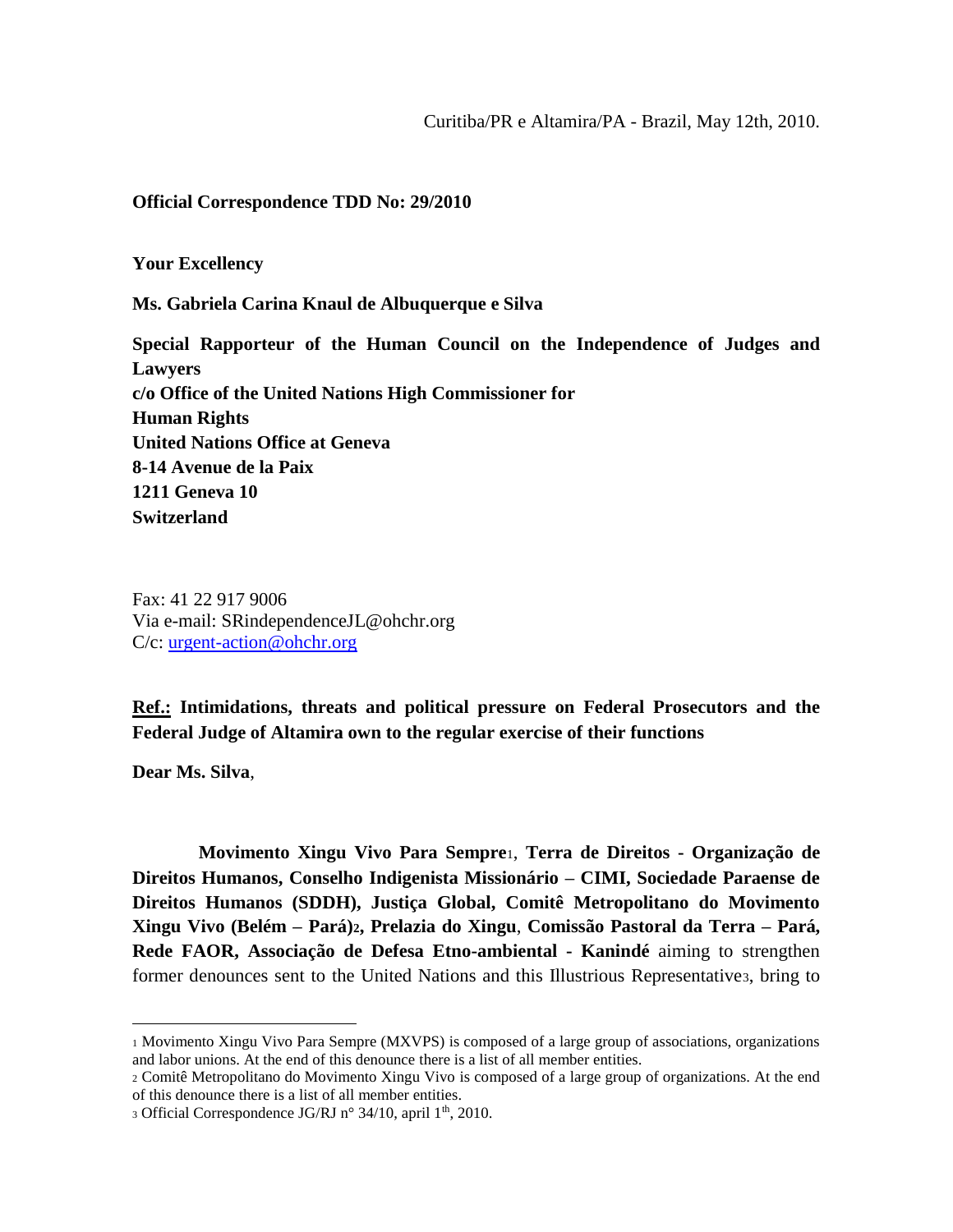### **Official Correspondence TDD No: 29/2010**

**Your Excellency**

**Ms. Gabriela Carina Knaul de Albuquerque e Silva**

**Special Rapporteur of the Human Council on the Independence of Judges and Lawyers c/o Office of the United Nations High Commissioner for Human Rights United Nations Office at Geneva 8-14 Avenue de la Paix 1211 Geneva 10 Switzerland**

Fax: 41 22 917 9006 Via e-mail: SRindependenceJL@ohchr.org C/c: [urgent-action@ohchr.org](mailto:urgent-action@ohchr.org)

**Ref.: Intimidations, threats and political pressure on Federal Prosecutors and the Federal Judge of Altamira own to the regular exercise of their functions**

**Dear Ms. Silva**,

 $\overline{a}$ 

**Movimento Xingu Vivo Para Sempre**1, **Terra de Direitos - Organização de Direitos Humanos, Conselho Indigenista Missionário – CIMI, Sociedade Paraense de Direitos Humanos (SDDH), Justiça Global, Comitê Metropolitano do Movimento Xingu Vivo (Belém – Pará)2, Prelazia do Xingu**, **Comissão Pastoral da Terra – Pará, Rede FAOR, Associação de Defesa Etno-ambiental - Kanindé** aiming to strengthen former denounces sent to the United Nations and this Illustrious Representative3, bring to

<sup>1</sup> Movimento Xingu Vivo Para Sempre (MXVPS) is composed of a large group of associations, organizations and labor unions. At the end of this denounce there is a list of all member entities.

<sup>2</sup> Comitê Metropolitano do Movimento Xingu Vivo is composed of a large group of organizations. At the end of this denounce there is a list of all member entities.

<sup>3</sup> Official Correspondence JG/RJ n° 34/10, april 1th, 2010.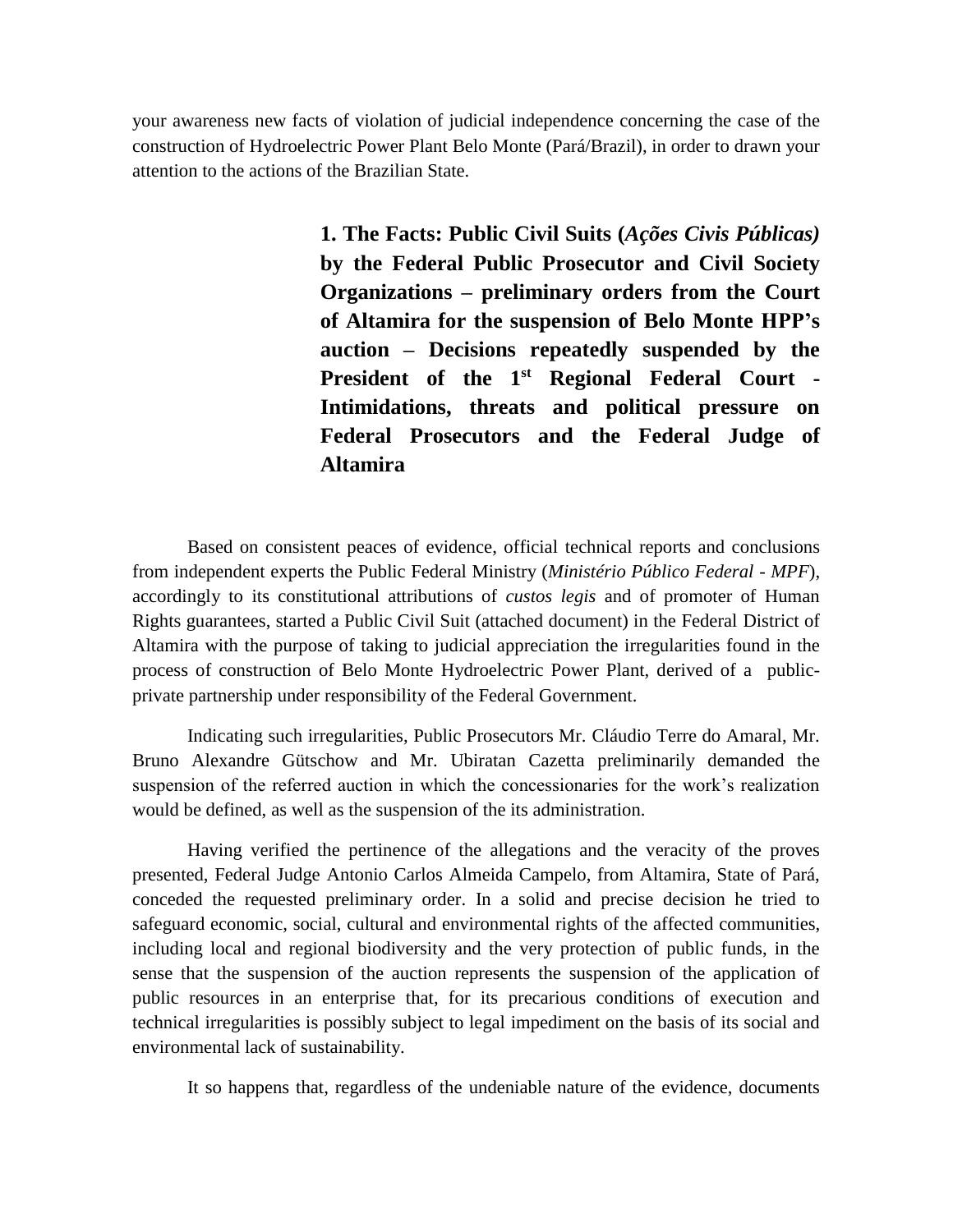your awareness new facts of violation of judicial independence concerning the case of the construction of Hydroelectric Power Plant Belo Monte (Pará/Brazil), in order to drawn your attention to the actions of the Brazilian State.

> **1. The Facts: Public Civil Suits (***Ações Civis Públicas)* **by the Federal Public Prosecutor and Civil Society Organizations – preliminary orders from the Court of Altamira for the suspension of Belo Monte HPP's auction – Decisions repeatedly suspended by the President of the 1st Regional Federal Court - Intimidations, threats and political pressure on Federal Prosecutors and the Federal Judge of Altamira**

Based on consistent peaces of evidence, official technical reports and conclusions from independent experts the Public Federal Ministry (*Ministério Público Federal - MPF*), accordingly to its constitutional attributions of *custos legis* and of promoter of Human Rights guarantees, started a Public Civil Suit (attached document) in the Federal District of Altamira with the purpose of taking to judicial appreciation the irregularities found in the process of construction of Belo Monte Hydroelectric Power Plant, derived of a publicprivate partnership under responsibility of the Federal Government.

Indicating such irregularities, Public Prosecutors Mr. Cláudio Terre do Amaral, Mr. Bruno Alexandre Gütschow and Mr. Ubiratan Cazetta preliminarily demanded the suspension of the referred auction in which the concessionaries for the work's realization would be defined, as well as the suspension of the its administration.

Having verified the pertinence of the allegations and the veracity of the proves presented, Federal Judge Antonio Carlos Almeida Campelo, from Altamira, State of Pará, conceded the requested preliminary order. In a solid and precise decision he tried to safeguard economic, social, cultural and environmental rights of the affected communities, including local and regional biodiversity and the very protection of public funds, in the sense that the suspension of the auction represents the suspension of the application of public resources in an enterprise that, for its precarious conditions of execution and technical irregularities is possibly subject to legal impediment on the basis of its social and environmental lack of sustainability.

It so happens that, regardless of the undeniable nature of the evidence, documents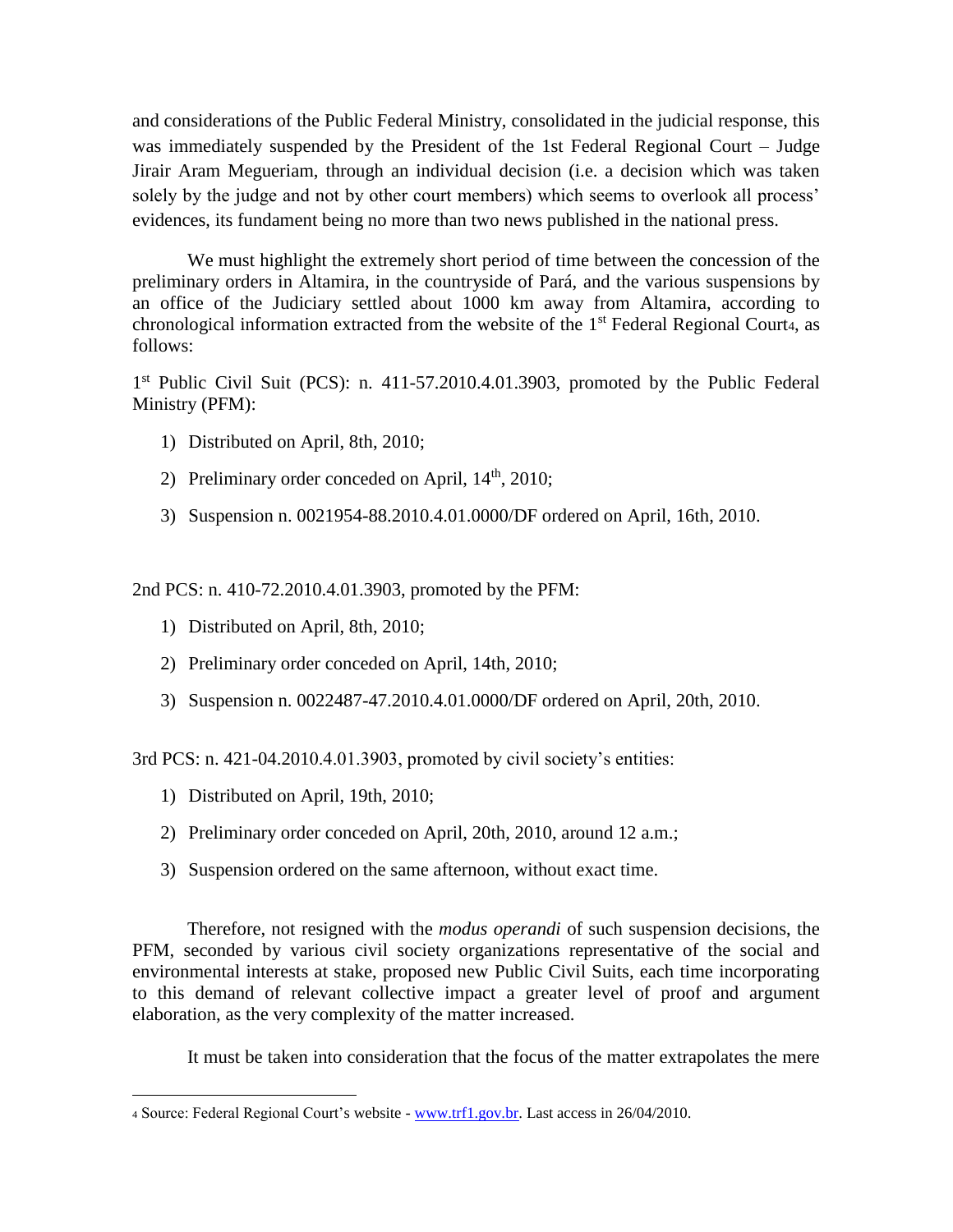and considerations of the Public Federal Ministry, consolidated in the judicial response, this was immediately suspended by the President of the 1st Federal Regional Court – Judge Jirair Aram Megueriam, through an individual decision (i.e. a decision which was taken solely by the judge and not by other court members) which seems to overlook all process' evidences, its fundament being no more than two news published in the national press.

We must highlight the extremely short period of time between the concession of the preliminary orders in Altamira, in the countryside of Pará, and the various suspensions by an office of the Judiciary settled about 1000 km away from Altamira, according to chronological information extracted from the website of the  $1<sup>st</sup>$  Federal Regional Courta, as follows:

1<sup>st</sup> Public Civil Suit (PCS): n. 411-57.2010.4.01.3903, promoted by the Public Federal Ministry (PFM):

- 1) Distributed on April, 8th, 2010;
- 2) Preliminary order conceded on April,  $14<sup>th</sup>$ ,  $2010$ ;
- 3) Suspension n. 0021954-88.2010.4.01.0000/DF ordered on April, 16th, 2010.

2nd PCS: n. 410-72.2010.4.01.3903, promoted by the PFM:

- 1) Distributed on April, 8th, 2010;
- 2) Preliminary order conceded on April, 14th, 2010;
- 3) Suspension n. 0022487-47.2010.4.01.0000/DF ordered on April, 20th, 2010.

3rd PCS: n. 421-04.2010.4.01.3903, promoted by civil society's entities:

1) Distributed on April, 19th, 2010;

 $\overline{a}$ 

- 2) Preliminary order conceded on April, 20th, 2010, around 12 a.m.;
- 3) Suspension ordered on the same afternoon, without exact time.

Therefore, not resigned with the *modus operandi* of such suspension decisions, the PFM, seconded by various civil society organizations representative of the social and environmental interests at stake, proposed new Public Civil Suits, each time incorporating to this demand of relevant collective impact a greater level of proof and argument elaboration, as the very complexity of the matter increased.

It must be taken into consideration that the focus of the matter extrapolates the mere

<sup>4</sup> Source: Federal Regional Court's website - [www.trf1.gov.br.](http://www.trf1.gov.br/) Last access in 26/04/2010.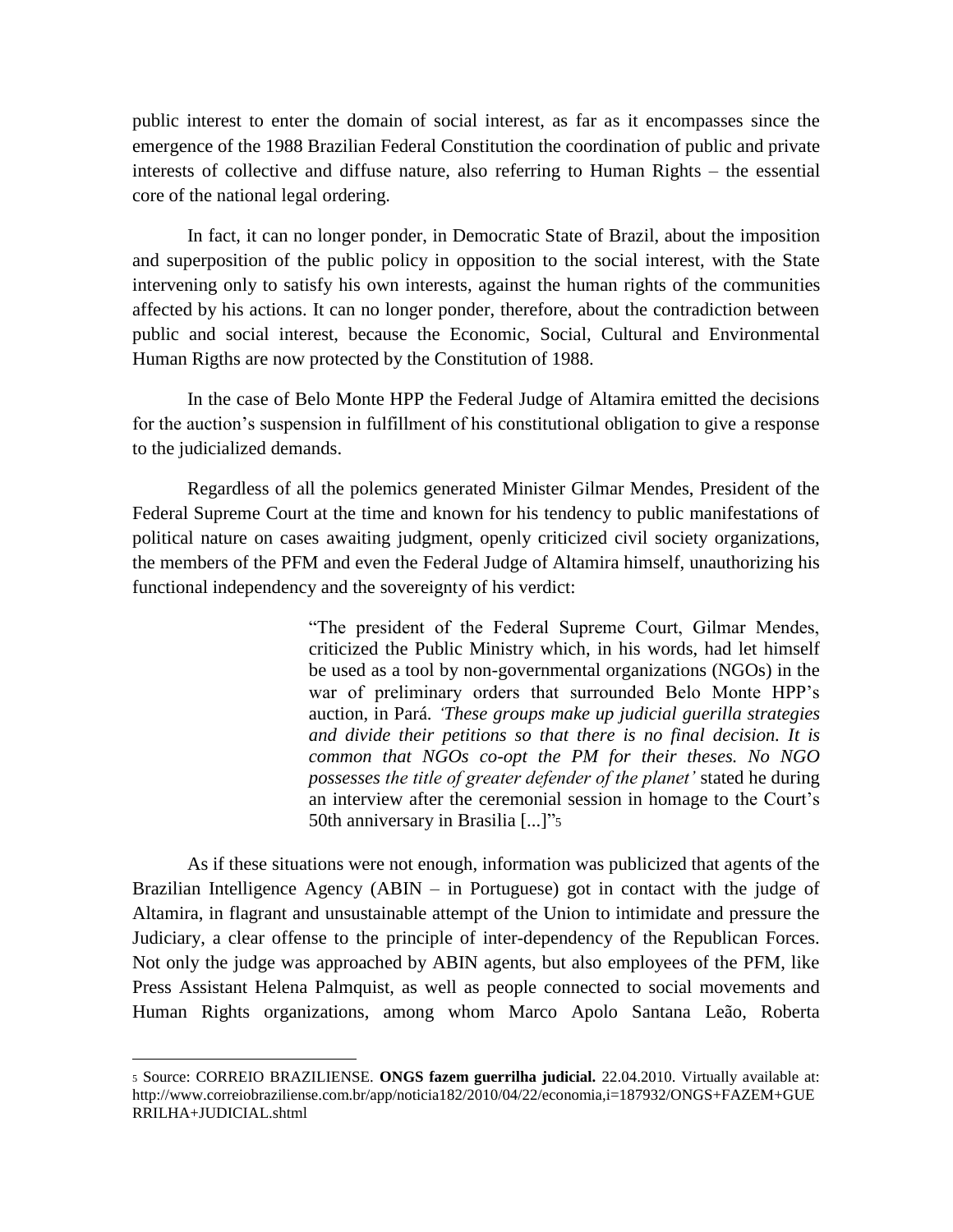public interest to enter the domain of social interest, as far as it encompasses since the emergence of the 1988 Brazilian Federal Constitution the coordination of public and private interests of collective and diffuse nature, also referring to Human Rights – the essential core of the national legal ordering.

In fact, it can no longer ponder, in Democratic State of Brazil, about the imposition and superposition of the public policy in opposition to the social interest, with the State intervening only to satisfy his own interests, against the human rights of the communities affected by his actions. It can no longer ponder, therefore, about the contradiction between public and social interest, because the Economic, Social, Cultural and Environmental Human Rigths are now protected by the Constitution of 1988.

In the case of Belo Monte HPP the Federal Judge of Altamira emitted the decisions for the auction's suspension in fulfillment of his constitutional obligation to give a response to the judicialized demands.

Regardless of all the polemics generated Minister Gilmar Mendes, President of the Federal Supreme Court at the time and known for his tendency to public manifestations of political nature on cases awaiting judgment, openly criticized civil society organizations, the members of the PFM and even the Federal Judge of Altamira himself, unauthorizing his functional independency and the sovereignty of his verdict:

> "The president of the Federal Supreme Court, Gilmar Mendes, criticized the Public Ministry which, in his words, had let himself be used as a tool by non-governmental organizations (NGOs) in the war of preliminary orders that surrounded Belo Monte HPP's auction, in Pará. *'These groups make up judicial guerilla strategies and divide their petitions so that there is no final decision. It is common that NGOs co-opt the PM for their theses. No NGO possesses the title of greater defender of the planet'* stated he during an interview after the ceremonial session in homage to the Court's 50th anniversary in Brasilia [...]"<sup>5</sup>

As if these situations were not enough, information was publicized that agents of the Brazilian Intelligence Agency (ABIN – in Portuguese) got in contact with the judge of Altamira, in flagrant and unsustainable attempt of the Union to intimidate and pressure the Judiciary, a clear offense to the principle of inter-dependency of the Republican Forces. Not only the judge was approached by ABIN agents, but also employees of the PFM, like Press Assistant Helena Palmquist, as well as people connected to social movements and Human Rights organizations, among whom Marco Apolo Santana Leão, Roberta

 $\overline{a}$ 

<sup>5</sup> Source: CORREIO BRAZILIENSE. **ONGS fazem guerrilha judicial.** 22.04.2010. Virtually available at: http://www.correiobraziliense.com.br/app/noticia182/2010/04/22/economia,i=187932/ONGS+FAZEM+GUE RRILHA+JUDICIAL.shtml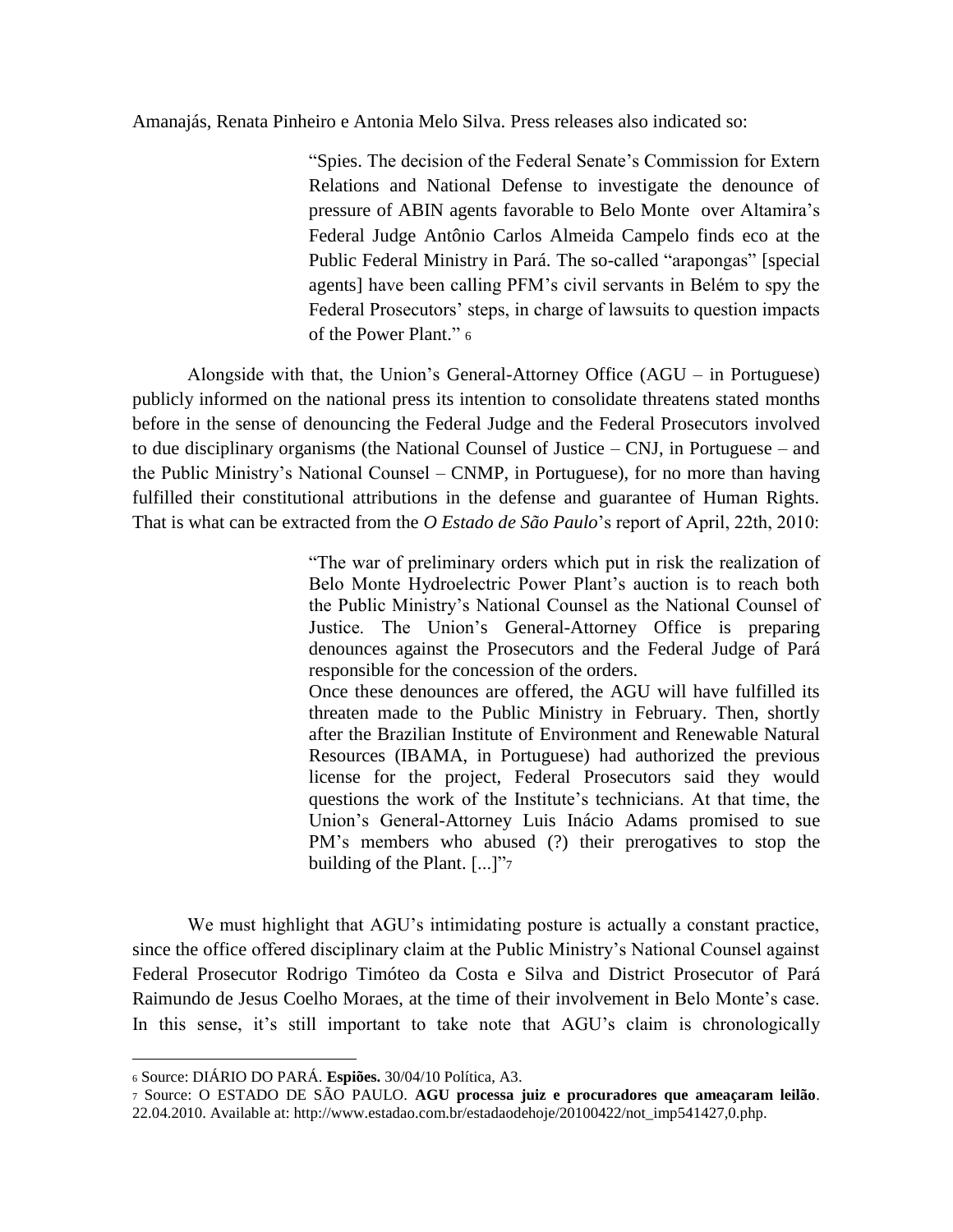#### Amanajás, Renata Pinheiro e Antonia Melo Silva. Press releases also indicated so:

"Spies. The decision of the Federal Senate's Commission for Extern Relations and National Defense to investigate the denounce of pressure of ABIN agents favorable to Belo Monte over Altamira's Federal Judge Antônio Carlos Almeida Campelo finds eco at the Public Federal Ministry in Pará. The so-called "arapongas" [special agents] have been calling PFM's civil servants in Belém to spy the Federal Prosecutors' steps, in charge of lawsuits to question impacts of the Power Plant." <sup>6</sup>

Alongside with that, the Union's General-Attorney Office (AGU – in Portuguese) publicly informed on the national press its intention to consolidate threatens stated months before in the sense of denouncing the Federal Judge and the Federal Prosecutors involved to due disciplinary organisms (the National Counsel of Justice – CNJ, in Portuguese – and the Public Ministry's National Counsel – CNMP, in Portuguese), for no more than having fulfilled their constitutional attributions in the defense and guarantee of Human Rights. That is what can be extracted from the *O Estado de São Paulo*'s report of April, 22th, 2010:

> "The war of preliminary orders which put in risk the realization of Belo Monte Hydroelectric Power Plant's auction is to reach both the Public Ministry's National Counsel as the National Counsel of Justice. The Union's General-Attorney Office is preparing denounces against the Prosecutors and the Federal Judge of Pará responsible for the concession of the orders.

> Once these denounces are offered, the AGU will have fulfilled its threaten made to the Public Ministry in February. Then, shortly after the Brazilian Institute of Environment and Renewable Natural Resources (IBAMA, in Portuguese) had authorized the previous license for the project, Federal Prosecutors said they would questions the work of the Institute's technicians. At that time, the Union's General-Attorney Luis Inácio Adams promised to sue PM's members who abused (?) their prerogatives to stop the building of the Plant. [...]"7

We must highlight that AGU's intimidating posture is actually a constant practice, since the office offered disciplinary claim at the Public Ministry's National Counsel against Federal Prosecutor Rodrigo Timóteo da Costa e Silva and District Prosecutor of Pará Raimundo de Jesus Coelho Moraes, at the time of their involvement in Belo Monte's case. In this sense, it's still important to take note that AGU's claim is chronologically

 $\overline{a}$ 

<sup>6</sup> Source: DIÁRIO DO PARÁ. **Espiões.** 30/04/10 Política, A3.

<sup>7</sup> Source: O ESTADO DE SÃO PAULO. **AGU processa juiz e procuradores que ameaçaram leilão**. 22.04.2010. Available at: http://www.estadao.com.br/estadaodehoje/20100422/not\_imp541427,0.php.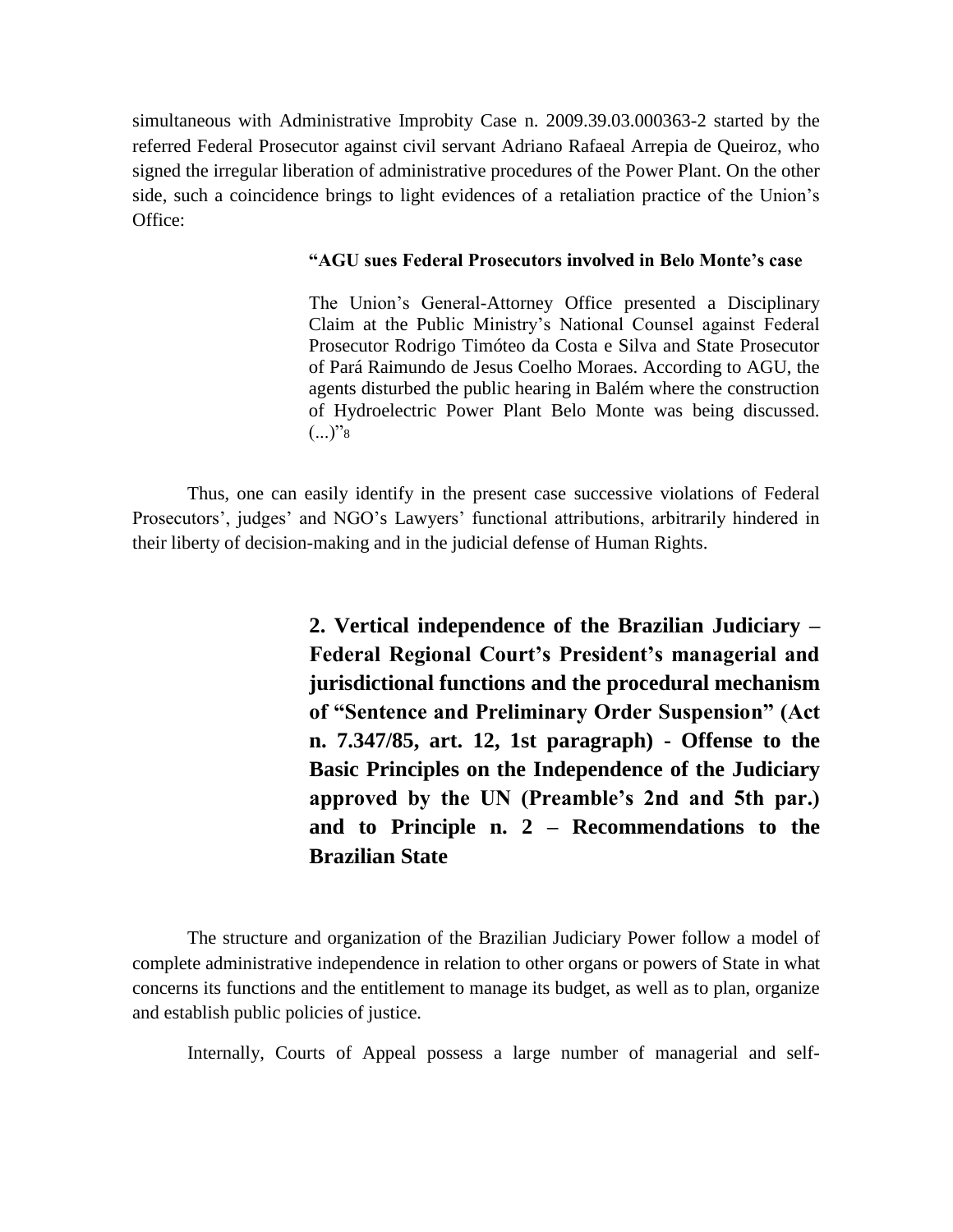simultaneous with Administrative Improbity Case n. 2009.39.03.000363-2 started by the referred Federal Prosecutor against civil servant Adriano Rafaeal Arrepia de Queiroz, who signed the irregular liberation of administrative procedures of the Power Plant. On the other side, such a coincidence brings to light evidences of a retaliation practice of the Union's Office:

### **"AGU sues Federal Prosecutors involved in Belo Monte's case**

The Union's General-Attorney Office presented a Disciplinary Claim at the Public Ministry's National Counsel against Federal Prosecutor Rodrigo Timóteo da Costa e Silva and State Prosecutor of Pará Raimundo de Jesus Coelho Moraes. According to AGU, the agents disturbed the public hearing in Balém where the construction of Hydroelectric Power Plant Belo Monte was being discussed.  $(...)$ "8

Thus, one can easily identify in the present case successive violations of Federal Prosecutors', judges' and NGO's Lawyers' functional attributions, arbitrarily hindered in their liberty of decision-making and in the judicial defense of Human Rights.

> **2. Vertical independence of the Brazilian Judiciary – Federal Regional Court's President's managerial and jurisdictional functions and the procedural mechanism of "Sentence and Preliminary Order Suspension" (Act n. 7.347/85, art. 12, 1st paragraph) - Offense to the Basic Principles on the Independence of the Judiciary approved by the UN (Preamble's 2nd and 5th par.) and to Principle n. 2 – Recommendations to the Brazilian State**

The structure and organization of the Brazilian Judiciary Power follow a model of complete administrative independence in relation to other organs or powers of State in what concerns its functions and the entitlement to manage its budget, as well as to plan, organize and establish public policies of justice.

Internally, Courts of Appeal possess a large number of managerial and self-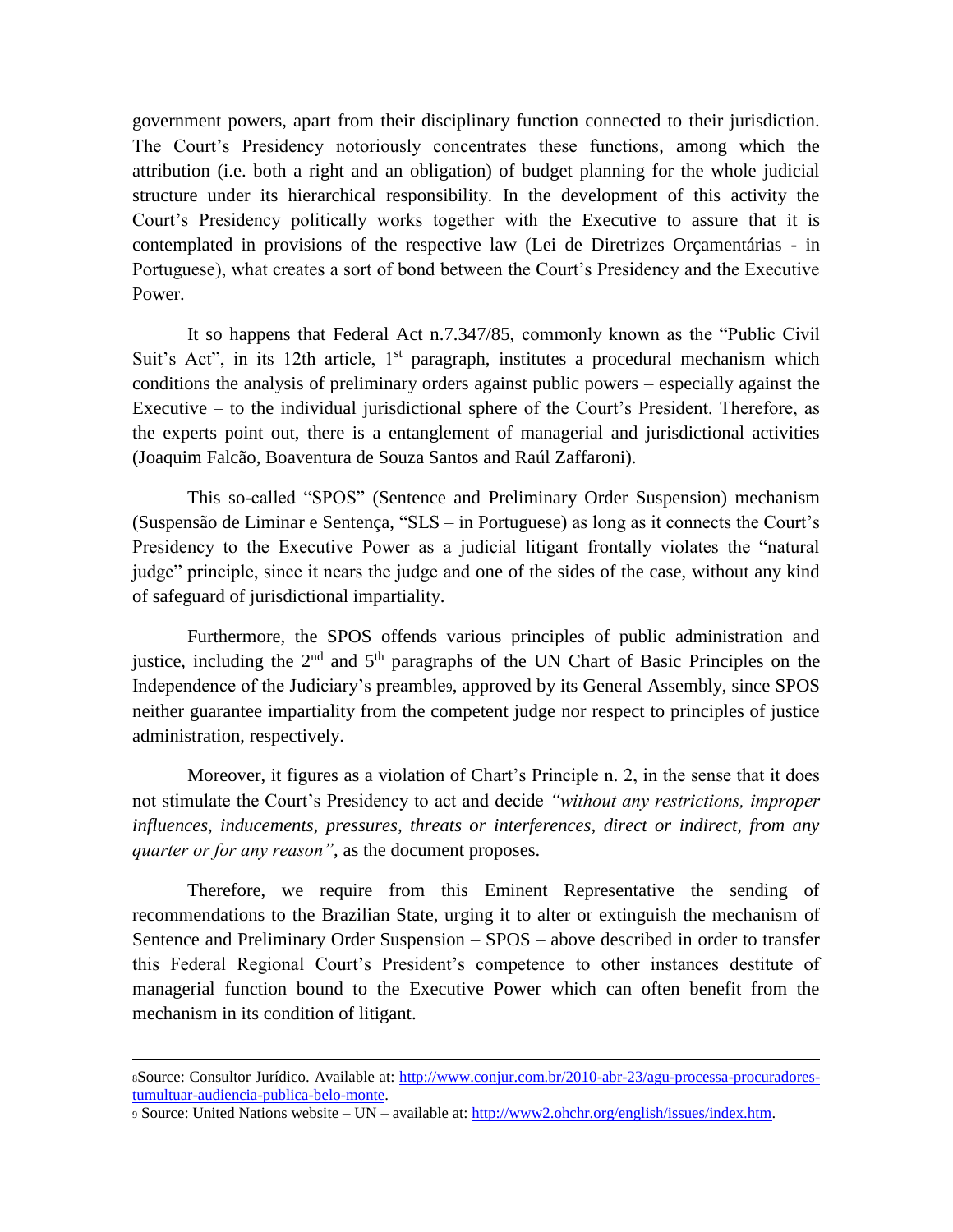government powers, apart from their disciplinary function connected to their jurisdiction. The Court's Presidency notoriously concentrates these functions, among which the attribution (i.e. both a right and an obligation) of budget planning for the whole judicial structure under its hierarchical responsibility. In the development of this activity the Court's Presidency politically works together with the Executive to assure that it is contemplated in provisions of the respective law (Lei de Diretrizes Orçamentárias - in Portuguese), what creates a sort of bond between the Court's Presidency and the Executive Power.

It so happens that Federal Act n.7.347/85, commonly known as the "Public Civil Suit's Act", in its 12th article,  $1<sup>st</sup>$  paragraph, institutes a procedural mechanism which conditions the analysis of preliminary orders against public powers – especially against the Executive – to the individual jurisdictional sphere of the Court's President. Therefore, as the experts point out, there is a entanglement of managerial and jurisdictional activities (Joaquim Falcão, Boaventura de Souza Santos and Raúl Zaffaroni).

This so-called "SPOS" (Sentence and Preliminary Order Suspension) mechanism (Suspensão de Liminar e Sentença, "SLS – in Portuguese) as long as it connects the Court's Presidency to the Executive Power as a judicial litigant frontally violates the "natural judge" principle, since it nears the judge and one of the sides of the case, without any kind of safeguard of jurisdictional impartiality.

Furthermore, the SPOS offends various principles of public administration and justice, including the  $2<sup>nd</sup>$  and  $5<sup>th</sup>$  paragraphs of the UN Chart of Basic Principles on the Independence of the Judiciary's preamble9, approved by its General Assembly, since SPOS neither guarantee impartiality from the competent judge nor respect to principles of justice administration, respectively.

Moreover, it figures as a violation of Chart's Principle n. 2, in the sense that it does not stimulate the Court's Presidency to act and decide *"without any restrictions, improper influences, inducements, pressures, threats or interferences, direct or indirect, from any quarter or for any reason"*, as the document proposes.

Therefore, we require from this Eminent Representative the sending of recommendations to the Brazilian State, urging it to alter or extinguish the mechanism of Sentence and Preliminary Order Suspension – SPOS – above described in order to transfer this Federal Regional Court's President's competence to other instances destitute of managerial function bound to the Executive Power which can often benefit from the mechanism in its condition of litigant.

1

<sup>8</sup>Source: Consultor Jurídico. Available at: [http://www.conjur.com.br/2010-abr-23/agu-processa-procuradores](http://www.conjur.com.br/2010-abr-23/agu-processa-procuradores-tumultuar-audiencia-publica-belo-monte)[tumultuar-audiencia-publica-belo-monte.](http://www.conjur.com.br/2010-abr-23/agu-processa-procuradores-tumultuar-audiencia-publica-belo-monte)

<sup>9</sup> Source: United Nations website – UN – available at: [http://www2.ohchr.org/english/issues/index.htm.](http://www2.ohchr.org/english/issues/index.htm)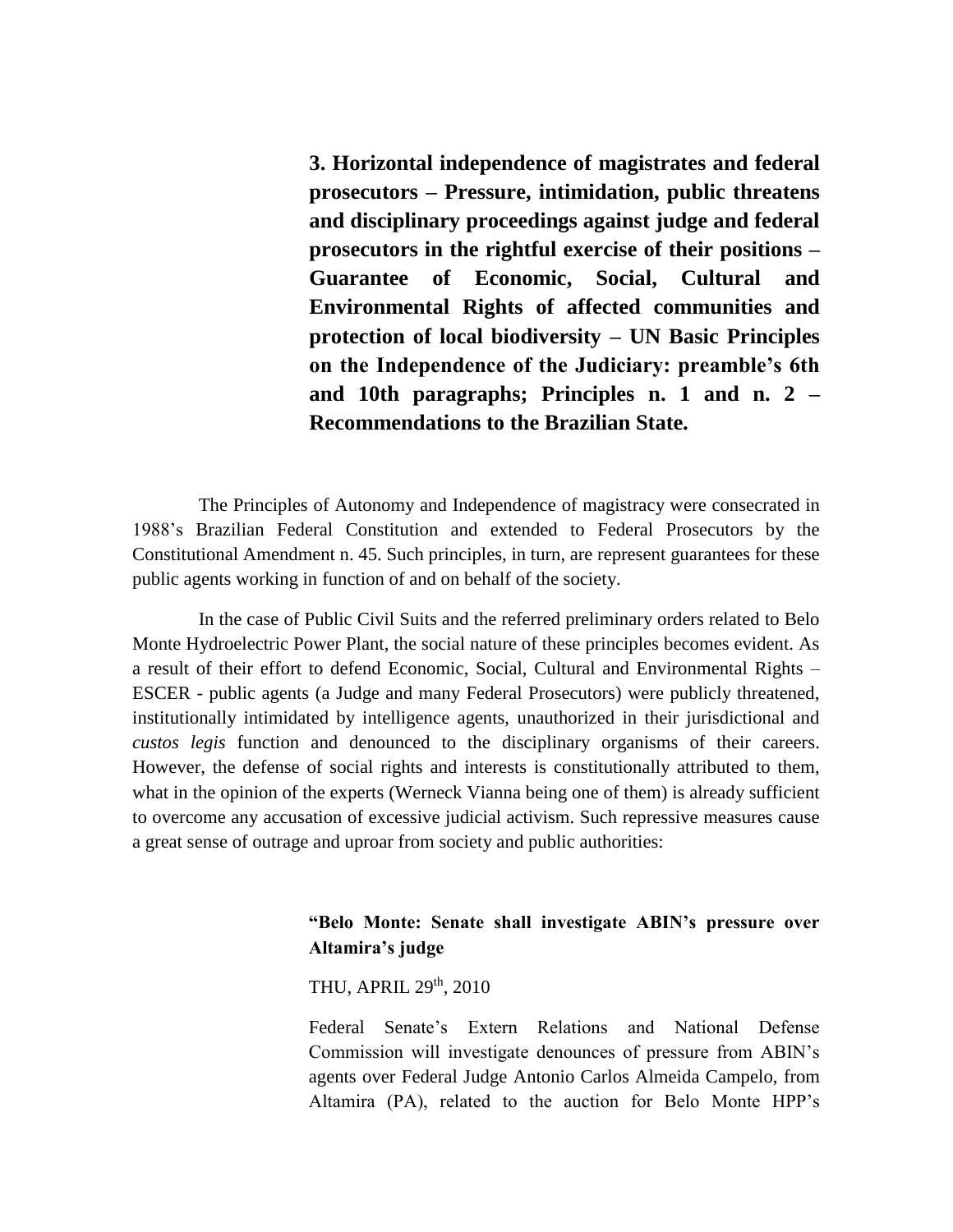**3. Horizontal independence of magistrates and federal prosecutors – Pressure, intimidation, public threatens and disciplinary proceedings against judge and federal prosecutors in the rightful exercise of their positions – Guarantee of Economic, Social, Cultural and Environmental Rights of affected communities and protection of local biodiversity – UN Basic Principles on the Independence of the Judiciary: preamble's 6th and 10th paragraphs; Principles n. 1 and n. 2 – Recommendations to the Brazilian State.**

The Principles of Autonomy and Independence of magistracy were consecrated in 1988's Brazilian Federal Constitution and extended to Federal Prosecutors by the Constitutional Amendment n. 45. Such principles, in turn, are represent guarantees for these public agents working in function of and on behalf of the society.

In the case of Public Civil Suits and the referred preliminary orders related to Belo Monte Hydroelectric Power Plant, the social nature of these principles becomes evident. As a result of their effort to defend Economic, Social, Cultural and Environmental Rights – ESCER - public agents (a Judge and many Federal Prosecutors) were publicly threatened, institutionally intimidated by intelligence agents, unauthorized in their jurisdictional and *custos legis* function and denounced to the disciplinary organisms of their careers. However, the defense of social rights and interests is constitutionally attributed to them, what in the opinion of the experts (Werneck Vianna being one of them) is already sufficient to overcome any accusation of excessive judicial activism. Such repressive measures cause a great sense of outrage and uproar from society and public authorities:

# **"Belo Monte: Senate shall investigate ABIN's pressure over Altamira's judge**

THU, APRIL 29<sup>th</sup>, 2010

Federal Senate's Extern Relations and National Defense Commission will investigate denounces of pressure from ABIN's agents over Federal Judge Antonio Carlos Almeida Campelo, from Altamira (PA), related to the auction for Belo Monte HPP's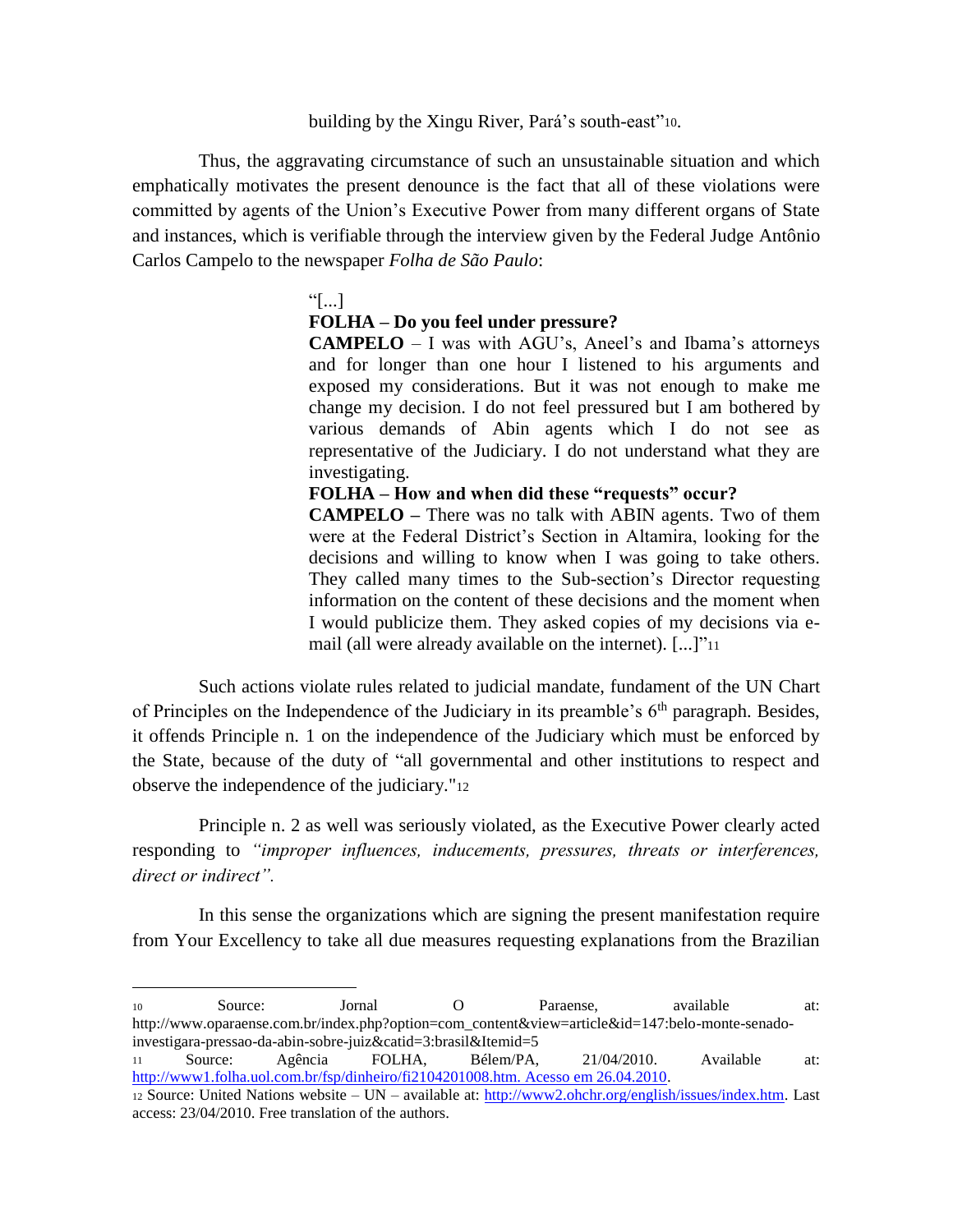building by the Xingu River, Pará's south-east"<sup>10</sup>.

Thus, the aggravating circumstance of such an unsustainable situation and which emphatically motivates the present denounce is the fact that all of these violations were committed by agents of the Union's Executive Power from many different organs of State and instances, which is verifiable through the interview given by the Federal Judge Antônio Carlos Campelo to the newspaper *Folha de São Paulo*:

### $"$ [...]

 $\overline{a}$ 

### **FOLHA – Do you feel under pressure?**

**CAMPELO** – I was with AGU's, Aneel's and Ibama's attorneys and for longer than one hour I listened to his arguments and exposed my considerations. But it was not enough to make me change my decision. I do not feel pressured but I am bothered by various demands of Abin agents which I do not see as representative of the Judiciary. I do not understand what they are investigating.

**FOLHA – How and when did these "requests" occur?** 

**CAMPELO –** There was no talk with ABIN agents. Two of them were at the Federal District's Section in Altamira, looking for the decisions and willing to know when I was going to take others. They called many times to the Sub-section's Director requesting information on the content of these decisions and the moment when I would publicize them. They asked copies of my decisions via email (all were already available on the internet). [...]"<sup>11</sup>

Such actions violate rules related to judicial mandate, fundament of the UN Chart of Principles on the Independence of the Judiciary in its preamble's  $6<sup>th</sup>$  paragraph. Besides, it offends Principle n. 1 on the independence of the Judiciary which must be enforced by the State, because of the duty of "all governmental and other institutions to respect and observe the independence of the judiciary."<sup>12</sup>

Principle n. 2 as well was seriously violated, as the Executive Power clearly acted responding to *"improper influences, inducements, pressures, threats or interferences, direct or indirect".*

In this sense the organizations which are signing the present manifestation require from Your Excellency to take all due measures requesting explanations from the Brazilian

<sup>10</sup> Source: Jornal O Paraense, available at: http://www.oparaense.com.br/index.php?option=com\_content&view=article&id=147:belo-monte-senadoinvestigara-pressao-da-abin-sobre-juiz&catid=3:brasil&Itemid=5

<sup>11</sup> Source: Agência FOLHA, Bélem/PA, 21/04/2010. Available at: [http://www1.folha.uol.com.br/fsp/dinheiro/fi2104201008.htm. Acesso em 26.04.2010.](http://www1.folha.uol.com.br/fsp/dinheiro/fi2104201008.htm.%20Acesso%20em%2026.04.2010)

<sup>12</sup> Source: United Nations website – UN – available at: [http://www2.ohchr.org/english/issues/index.htm.](http://www2.ohchr.org/english/issues/index.htm) Last access: 23/04/2010. Free translation of the authors.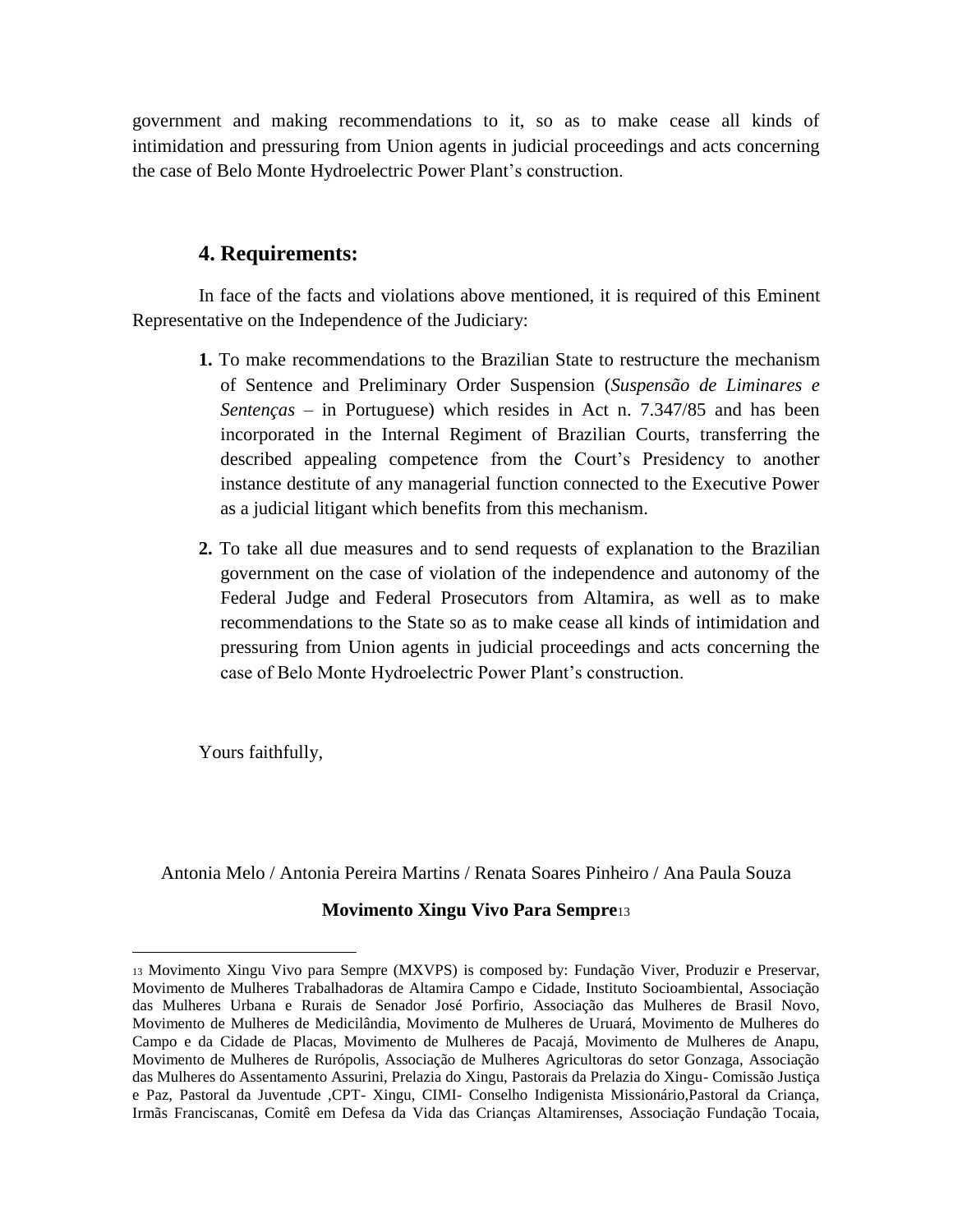government and making recommendations to it, so as to make cease all kinds of intimidation and pressuring from Union agents in judicial proceedings and acts concerning the case of Belo Monte Hydroelectric Power Plant's construction.

# **4. Requirements:**

In face of the facts and violations above mentioned, it is required of this Eminent Representative on the Independence of the Judiciary:

- **1.** To make recommendations to the Brazilian State to restructure the mechanism of Sentence and Preliminary Order Suspension (*Suspensão de Liminares e Sentenças* – in Portuguese) which resides in Act n. 7.347/85 and has been incorporated in the Internal Regiment of Brazilian Courts, transferring the described appealing competence from the Court's Presidency to another instance destitute of any managerial function connected to the Executive Power as a judicial litigant which benefits from this mechanism.
- **2.** To take all due measures and to send requests of explanation to the Brazilian government on the case of violation of the independence and autonomy of the Federal Judge and Federal Prosecutors from Altamira, as well as to make recommendations to the State so as to make cease all kinds of intimidation and pressuring from Union agents in judicial proceedings and acts concerning the case of Belo Monte Hydroelectric Power Plant's construction.

Yours faithfully,

 $\overline{a}$ 

Antonia Melo / Antonia Pereira Martins / Renata Soares Pinheiro / Ana Paula Souza

# **Movimento Xingu Vivo Para Sempre**<sup>13</sup>

<sup>13</sup> Movimento Xingu Vivo para Sempre (MXVPS) is composed by: Fundação Viver, Produzir e Preservar, Movimento de Mulheres Trabalhadoras de Altamira Campo e Cidade, Instituto Socioambiental, Associação das Mulheres Urbana e Rurais de Senador José Porfirio, Associação das Mulheres de Brasil Novo, Movimento de Mulheres de Medicilândia, Movimento de Mulheres de Uruará, Movimento de Mulheres do Campo e da Cidade de Placas, Movimento de Mulheres de Pacajá, Movimento de Mulheres de Anapu, Movimento de Mulheres de Rurópolis, Associação de Mulheres Agricultoras do setor Gonzaga, Associação das Mulheres do Assentamento Assurini, Prelazia do Xingu, Pastorais da Prelazia do Xingu- Comissão Justiça e Paz, Pastoral da Juventude ,CPT- Xingu, CIMI- Conselho Indigenista Missionário,Pastoral da Criança, Irmãs Franciscanas, Comitê em Defesa da Vida das Crianças Altamirenses, Associação Fundação Tocaia,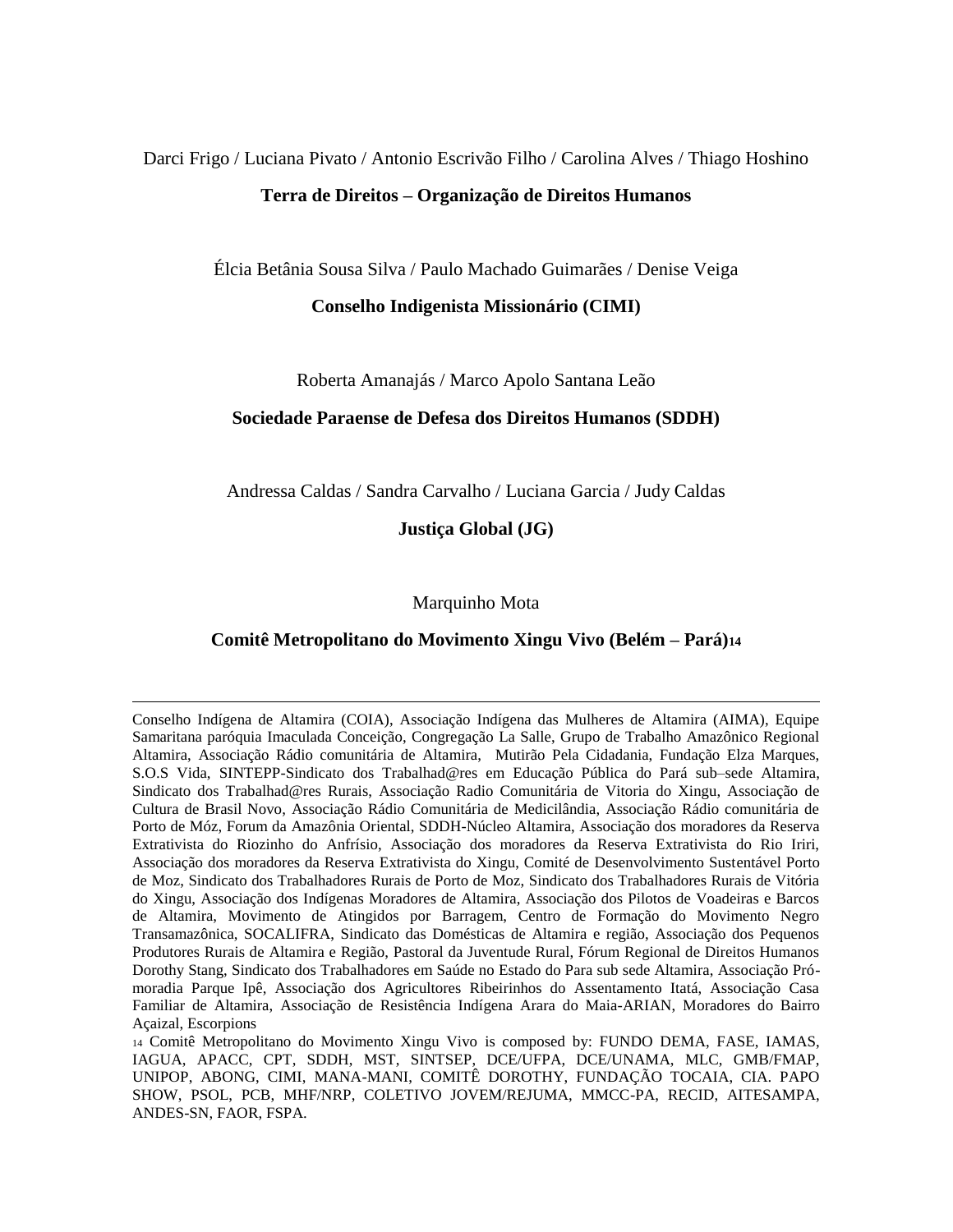# Darci Frigo / Luciana Pivato / Antonio Escrivão Filho / Carolina Alves / Thiago Hoshino **Terra de Direitos – Organização de Direitos Humanos**

Élcia Betânia Sousa Silva / Paulo Machado Guimarães / Denise Veiga

**Conselho Indigenista Missionário (CIMI)**

Roberta Amanajás / Marco Apolo Santana Leão

### **Sociedade Paraense de Defesa dos Direitos Humanos (SDDH)**

Andressa Caldas / Sandra Carvalho / Luciana Garcia / Judy Caldas

**Justiça Global (JG)**

### Marquinho Mota

### **Comitê Metropolitano do Movimento Xingu Vivo (Belém – Pará)<sup>14</sup>**

1

Conselho Indígena de Altamira (COIA), Associação Indígena das Mulheres de Altamira (AIMA), Equipe Samaritana paróquia Imaculada Conceição, Congregação La Salle, Grupo de Trabalho Amazônico Regional Altamira, Associação Rádio comunitária de Altamira, Mutirão Pela Cidadania, Fundação Elza Marques, S.O.S Vida, SINTEPP-Sindicato dos Trabalhad@res em Educação Pública do Pará sub–sede Altamira, Sindicato dos Trabalhad@res Rurais, Associação Radio Comunitária de Vitoria do Xingu, Associação de Cultura de Brasil Novo, Associação Rádio Comunitária de Medicilândia, Associação Rádio comunitária de Porto de Móz, Forum da Amazônia Oriental, SDDH-Núcleo Altamira, Associação dos moradores da Reserva Extrativista do Riozinho do Anfrísio, Associação dos moradores da Reserva Extrativista do Rio Iriri, Associação dos moradores da Reserva Extrativista do Xingu, Comité de Desenvolvimento Sustentável Porto de Moz, Sindicato dos Trabalhadores Rurais de Porto de Moz, Sindicato dos Trabalhadores Rurais de Vitória do Xingu, Associação dos Indígenas Moradores de Altamira, Associação dos Pilotos de Voadeiras e Barcos de Altamira, Movimento de Atingidos por Barragem, Centro de Formação do Movimento Negro Transamazônica, SOCALIFRA, Sindicato das Domésticas de Altamira e região, Associação dos Pequenos Produtores Rurais de Altamira e Região, Pastoral da Juventude Rural, Fórum Regional de Direitos Humanos Dorothy Stang, Sindicato dos Trabalhadores em Saúde no Estado do Para sub sede Altamira, Associação Prómoradia Parque Ipê, Associação dos Agricultores Ribeirinhos do Assentamento Itatá, Associação Casa Familiar de Altamira, Associação de Resistência Indígena Arara do Maia-ARIAN, Moradores do Bairro Açaizal, Escorpions

<sup>14</sup> Comitê Metropolitano do Movimento Xingu Vivo is composed by: FUNDO DEMA, FASE, IAMAS, IAGUA, APACC, CPT, SDDH, MST, SINTSEP, DCE/UFPA, DCE/UNAMA, MLC, GMB/FMAP, UNIPOP, ABONG, CIMI, MANA-MANI, COMITÊ DOROTHY, FUNDAÇÃO TOCAIA, CIA. PAPO SHOW, PSOL, PCB, MHF/NRP, COLETIVO JOVEM/REJUMA, MMCC-PA, RECID, AITESAMPA, ANDES-SN, FAOR, FSPA.